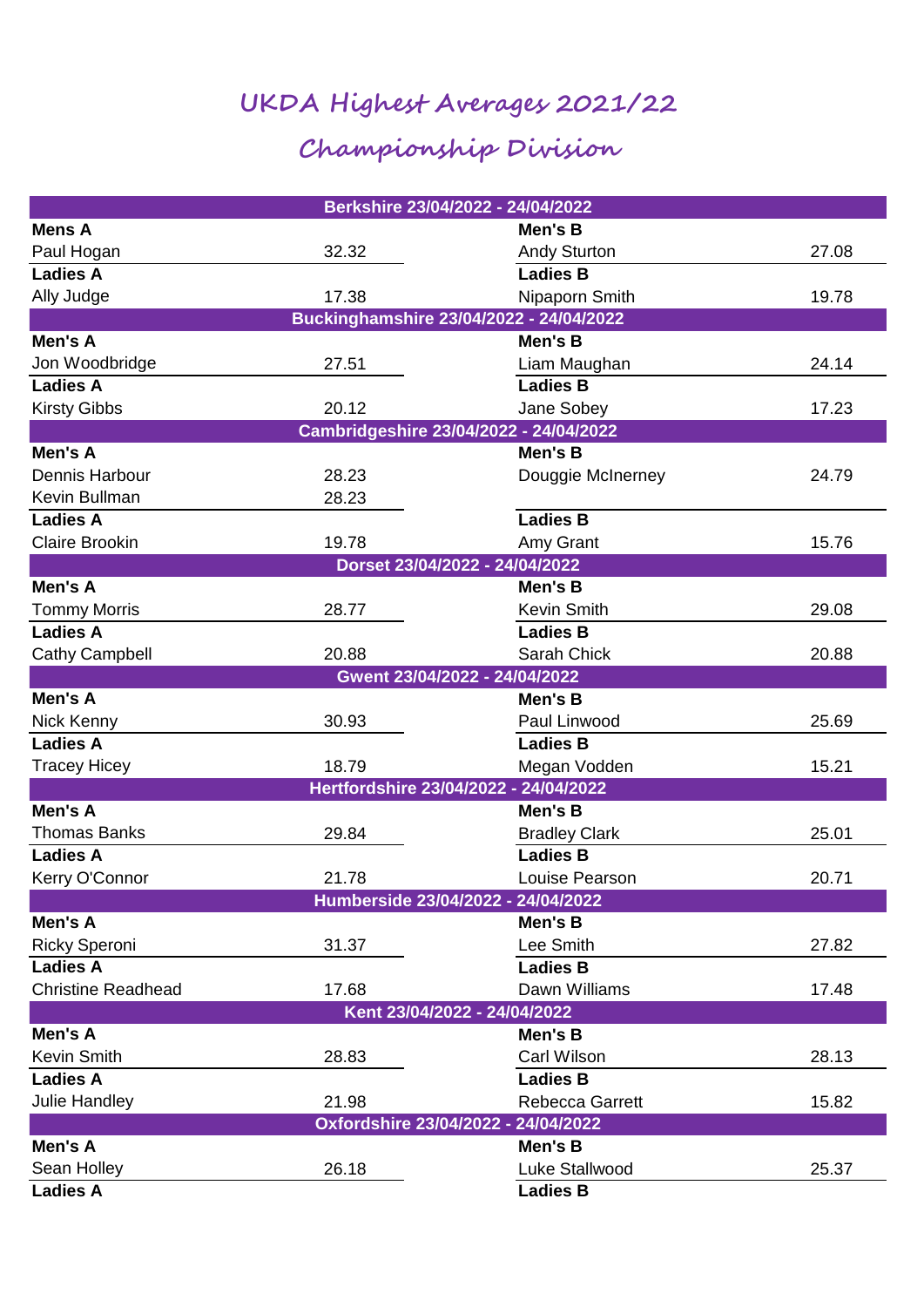## **UKDA Highest Averages 2021/22**

## **Championship Division**

|                                         |       | Berkshire 23/04/2022 - 24/04/2022     |       |  |  |
|-----------------------------------------|-------|---------------------------------------|-------|--|--|
| <b>Mens A</b>                           |       | Men's B                               |       |  |  |
| Paul Hogan                              | 32.32 | <b>Andy Sturton</b>                   | 27.08 |  |  |
| <b>Ladies A</b>                         |       | <b>Ladies B</b>                       |       |  |  |
| Ally Judge                              | 17.38 | Nipaporn Smith                        | 19.78 |  |  |
| Buckinghamshire 23/04/2022 - 24/04/2022 |       |                                       |       |  |  |
| Men's A                                 |       | Men's B                               |       |  |  |
| Jon Woodbridge                          | 27.51 | Liam Maughan                          | 24.14 |  |  |
| <b>Ladies A</b>                         |       | <b>Ladies B</b>                       |       |  |  |
| <b>Kirsty Gibbs</b>                     | 20.12 | Jane Sobey                            | 17.23 |  |  |
| Cambridgeshire 23/04/2022 - 24/04/2022  |       |                                       |       |  |  |
| Men's A                                 |       | Men's B                               |       |  |  |
| Dennis Harbour                          | 28.23 | Douggie McInerney                     | 24.79 |  |  |
| Kevin Bullman                           | 28.23 |                                       |       |  |  |
| <b>Ladies A</b>                         |       | <b>Ladies B</b>                       |       |  |  |
| <b>Claire Brookin</b>                   | 19.78 | Amy Grant                             | 15.76 |  |  |
|                                         |       | Dorset 23/04/2022 - 24/04/2022        |       |  |  |
| Men's A                                 |       | Men's B                               |       |  |  |
| <b>Tommy Morris</b>                     | 28.77 | <b>Kevin Smith</b>                    | 29.08 |  |  |
| <b>Ladies A</b>                         |       | <b>Ladies B</b>                       |       |  |  |
| Cathy Campbell                          | 20.88 | Sarah Chick                           | 20.88 |  |  |
|                                         |       | Gwent 23/04/2022 - 24/04/2022         |       |  |  |
| Men's A                                 |       | Men's B                               |       |  |  |
| Nick Kenny                              | 30.93 | Paul Linwood                          | 25.69 |  |  |
| <b>Ladies A</b>                         |       | <b>Ladies B</b>                       |       |  |  |
| <b>Tracey Hicey</b>                     | 18.79 | Megan Vodden                          | 15.21 |  |  |
|                                         |       | Hertfordshire 23/04/2022 - 24/04/2022 |       |  |  |
| Men's A                                 |       | Men's B                               |       |  |  |
| <b>Thomas Banks</b>                     | 29.84 | <b>Bradley Clark</b>                  | 25.01 |  |  |
| <b>Ladies A</b>                         |       | <b>Ladies B</b>                       |       |  |  |
| Kerry O'Connor                          | 21.78 | Louise Pearson                        | 20.71 |  |  |
|                                         |       | Humberside 23/04/2022 - 24/04/2022    |       |  |  |
| Men's A                                 |       | Men's B                               |       |  |  |
| <b>Ricky Speroni</b>                    | 31.37 | Lee Smith                             | 27.82 |  |  |
| <b>Ladies A</b>                         |       | <b>Ladies B</b>                       |       |  |  |
| <b>Christine Readhead</b>               | 17.68 | Dawn Williams                         | 17.48 |  |  |
|                                         |       | Kent 23/04/2022 - 24/04/2022          |       |  |  |
| Men's A                                 |       | Men's B                               |       |  |  |
| <b>Kevin Smith</b>                      | 28.83 | Carl Wilson                           | 28.13 |  |  |
| <b>Ladies A</b>                         |       | <b>Ladies B</b>                       |       |  |  |
| Julie Handley                           | 21.98 | Rebecca Garrett                       | 15.82 |  |  |
|                                         |       | Oxfordshire 23/04/2022 - 24/04/2022   |       |  |  |
| Men's A                                 |       | Men's B                               |       |  |  |
| Sean Holley                             | 26.18 | Luke Stallwood                        | 25.37 |  |  |
| <b>Ladies A</b>                         |       | <b>Ladies B</b>                       |       |  |  |